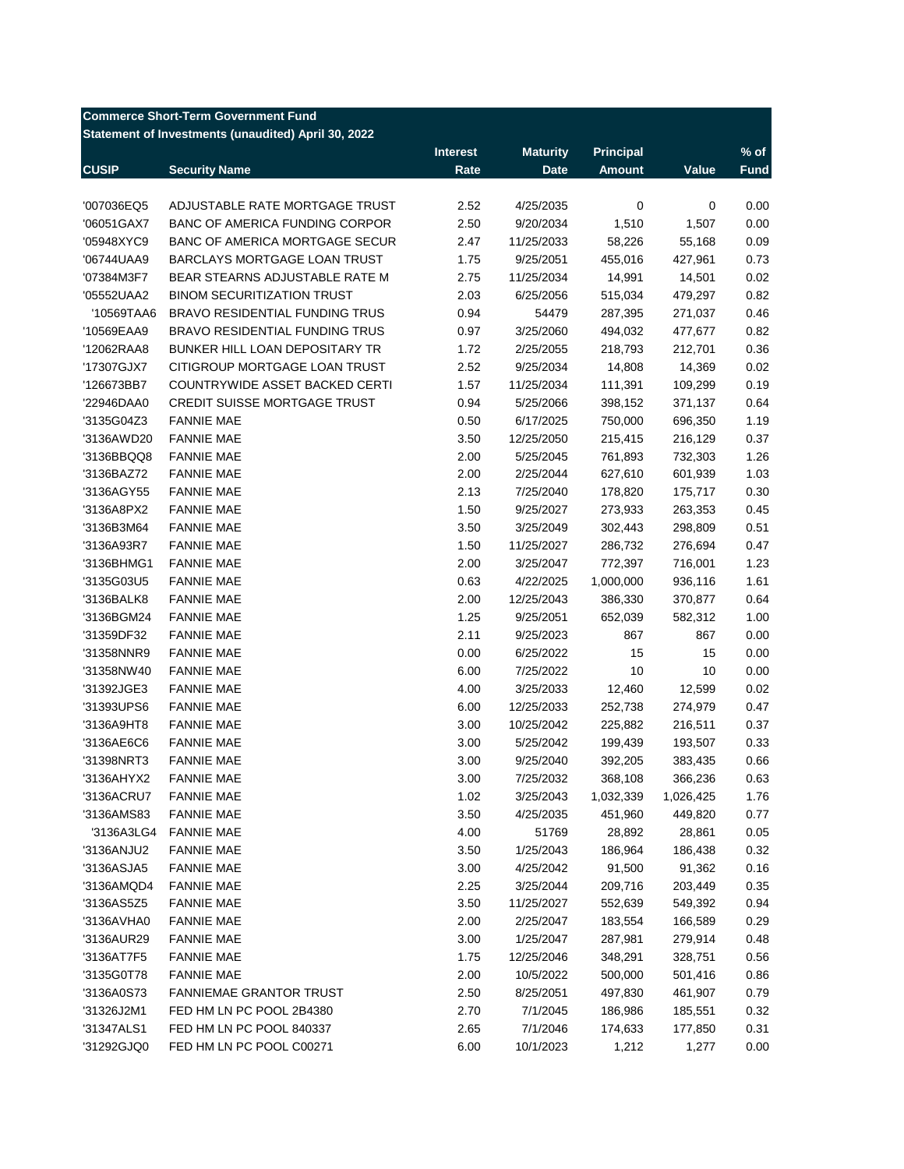## **Commerce Short-Term Government Fund**

**Statement of Investments (unaudited) April 30, 2022**

|              |                                       | <b>Interest</b> | <b>Maturity</b> | <b>Principal</b> |           | $%$ of      |
|--------------|---------------------------------------|-----------------|-----------------|------------------|-----------|-------------|
| <b>CUSIP</b> | <b>Security Name</b>                  | Rate            | <b>Date</b>     | <b>Amount</b>    | Value     | <b>Fund</b> |
|              |                                       |                 |                 |                  |           |             |
| '007036EQ5   | ADJUSTABLE RATE MORTGAGE TRUST        | 2.52            | 4/25/2035       | 0                | 0         | 0.00        |
| '06051GAX7   | <b>BANC OF AMERICA FUNDING CORPOR</b> | 2.50            | 9/20/2034       | 1,510            | 1,507     | 0.00        |
| '05948XYC9   | BANC OF AMERICA MORTGAGE SECUR        | 2.47            | 11/25/2033      | 58,226           | 55,168    | 0.09        |
| '06744UAA9   | <b>BARCLAYS MORTGAGE LOAN TRUST</b>   | 1.75            | 9/25/2051       | 455,016          | 427,961   | 0.73        |
| '07384M3F7   | BEAR STEARNS ADJUSTABLE RATE M        | 2.75            | 11/25/2034      | 14,991           | 14,501    | 0.02        |
| '05552UAA2   | <b>BINOM SECURITIZATION TRUST</b>     | 2.03            | 6/25/2056       | 515,034          | 479,297   | 0.82        |
| '10569TAA6   | <b>BRAVO RESIDENTIAL FUNDING TRUS</b> | 0.94            | 54479           | 287,395          | 271,037   | 0.46        |
| '10569EAA9   | <b>BRAVO RESIDENTIAL FUNDING TRUS</b> | 0.97            | 3/25/2060       | 494,032          | 477,677   | 0.82        |
| '12062RAA8   | BUNKER HILL LOAN DEPOSITARY TR        | 1.72            | 2/25/2055       | 218,793          | 212,701   | 0.36        |
| '17307GJX7   | CITIGROUP MORTGAGE LOAN TRUST         | 2.52            | 9/25/2034       | 14,808           | 14,369    | 0.02        |
| '126673BB7   | COUNTRYWIDE ASSET BACKED CERTI        | 1.57            | 11/25/2034      | 111,391          | 109,299   | 0.19        |
| '22946DAA0   | <b>CREDIT SUISSE MORTGAGE TRUST</b>   | 0.94            | 5/25/2066       | 398,152          | 371,137   | 0.64        |
| '3135G04Z3   | <b>FANNIE MAE</b>                     | 0.50            | 6/17/2025       | 750,000          | 696,350   | 1.19        |
| '3136AWD20   | <b>FANNIE MAE</b>                     | 3.50            | 12/25/2050      | 215,415          | 216,129   | 0.37        |
| '3136BBQQ8   | <b>FANNIE MAE</b>                     | 2.00            | 5/25/2045       | 761,893          | 732,303   | 1.26        |
| '3136BAZ72   | <b>FANNIE MAE</b>                     | 2.00            | 2/25/2044       | 627,610          | 601,939   | 1.03        |
| '3136AGY55   | <b>FANNIE MAE</b>                     | 2.13            | 7/25/2040       | 178,820          | 175,717   | 0.30        |
| '3136A8PX2   | <b>FANNIE MAE</b>                     | 1.50            | 9/25/2027       | 273,933          | 263,353   | 0.45        |
| '3136B3M64   | <b>FANNIE MAE</b>                     | 3.50            | 3/25/2049       | 302,443          | 298,809   | 0.51        |
| '3136A93R7   | <b>FANNIE MAE</b>                     | 1.50            | 11/25/2027      | 286,732          | 276,694   | 0.47        |
| '3136BHMG1   | <b>FANNIE MAE</b>                     | 2.00            | 3/25/2047       | 772,397          | 716,001   | 1.23        |
| '3135G03U5   | <b>FANNIE MAE</b>                     | 0.63            | 4/22/2025       | 1,000,000        | 936,116   | 1.61        |
| '3136BALK8   | <b>FANNIE MAE</b>                     | 2.00            | 12/25/2043      | 386,330          | 370,877   | 0.64        |
| '3136BGM24   | <b>FANNIE MAE</b>                     | 1.25            | 9/25/2051       | 652,039          | 582,312   | 1.00        |
| '31359DF32   | <b>FANNIE MAE</b>                     | 2.11            | 9/25/2023       | 867              | 867       | 0.00        |
| '31358NNR9   | <b>FANNIE MAE</b>                     | 0.00            | 6/25/2022       | 15               | 15        | 0.00        |
| '31358NW40   | <b>FANNIE MAE</b>                     | 6.00            | 7/25/2022       | 10               | 10        | 0.00        |
| '31392JGE3   | <b>FANNIE MAE</b>                     | 4.00            | 3/25/2033       | 12,460           | 12,599    | 0.02        |
| '31393UPS6   | <b>FANNIE MAE</b>                     | 6.00            | 12/25/2033      | 252,738          | 274,979   | 0.47        |
| '3136A9HT8   | <b>FANNIE MAE</b>                     | 3.00            | 10/25/2042      | 225,882          | 216,511   | 0.37        |
| '3136AE6C6   | <b>FANNIE MAE</b>                     | 3.00            | 5/25/2042       | 199,439          | 193,507   | 0.33        |
| '31398NRT3   | <b>FANNIE MAE</b>                     | 3.00            | 9/25/2040       | 392,205          | 383,435   | 0.66        |
| '3136AHYX2   | <b>FANNIE MAE</b>                     | 3.00            | 7/25/2032       | 368,108          | 366,236   | 0.63        |
| '3136ACRU7   | <b>FANNIE MAE</b>                     | 1.02            | 3/25/2043       | 1,032,339        | 1,026,425 | 1.76        |
| '3136AMS83   | <b>FANNIE MAE</b>                     | 3.50            | 4/25/2035       | 451,960          | 449,820   | 0.77        |
| '3136A3LG4   | <b>FANNIE MAE</b>                     | 4.00            | 51769           | 28,892           | 28,861    | 0.05        |
| '3136ANJU2   | <b>FANNIE MAE</b>                     | 3.50            | 1/25/2043       | 186,964          | 186,438   | 0.32        |
|              |                                       |                 |                 |                  |           |             |
| '3136ASJA5   | <b>FANNIE MAE</b>                     | 3.00            | 4/25/2042       | 91,500           | 91,362    | 0.16        |
| '3136AMQD4   | <b>FANNIE MAE</b>                     | 2.25            | 3/25/2044       | 209,716          | 203,449   | 0.35        |
| '3136AS5Z5   | <b>FANNIE MAE</b>                     | 3.50            | 11/25/2027      | 552,639          | 549,392   | 0.94        |
| '3136AVHA0   | <b>FANNIE MAE</b>                     | 2.00            | 2/25/2047       | 183,554          | 166,589   | 0.29        |
| '3136AUR29   | <b>FANNIE MAE</b>                     | 3.00            | 1/25/2047       | 287,981          | 279,914   | 0.48        |
| '3136AT7F5   | <b>FANNIE MAE</b>                     | 1.75            | 12/25/2046      | 348,291          | 328,751   | 0.56        |
| '3135G0T78   | <b>FANNIE MAE</b>                     | 2.00            | 10/5/2022       | 500,000          | 501,416   | 0.86        |
| '3136A0S73   | <b>FANNIEMAE GRANTOR TRUST</b>        | 2.50            | 8/25/2051       | 497,830          | 461,907   | 0.79        |
| '31326J2M1   | FED HM LN PC POOL 2B4380              | 2.70            | 7/1/2045        | 186,986          | 185,551   | 0.32        |
| '31347ALS1   | FED HM LN PC POOL 840337              | 2.65            | 7/1/2046        | 174,633          | 177,850   | 0.31        |
| '31292GJQ0   | FED HM LN PC POOL C00271              | 6.00            | 10/1/2023       | 1,212            | 1,277     | 0.00        |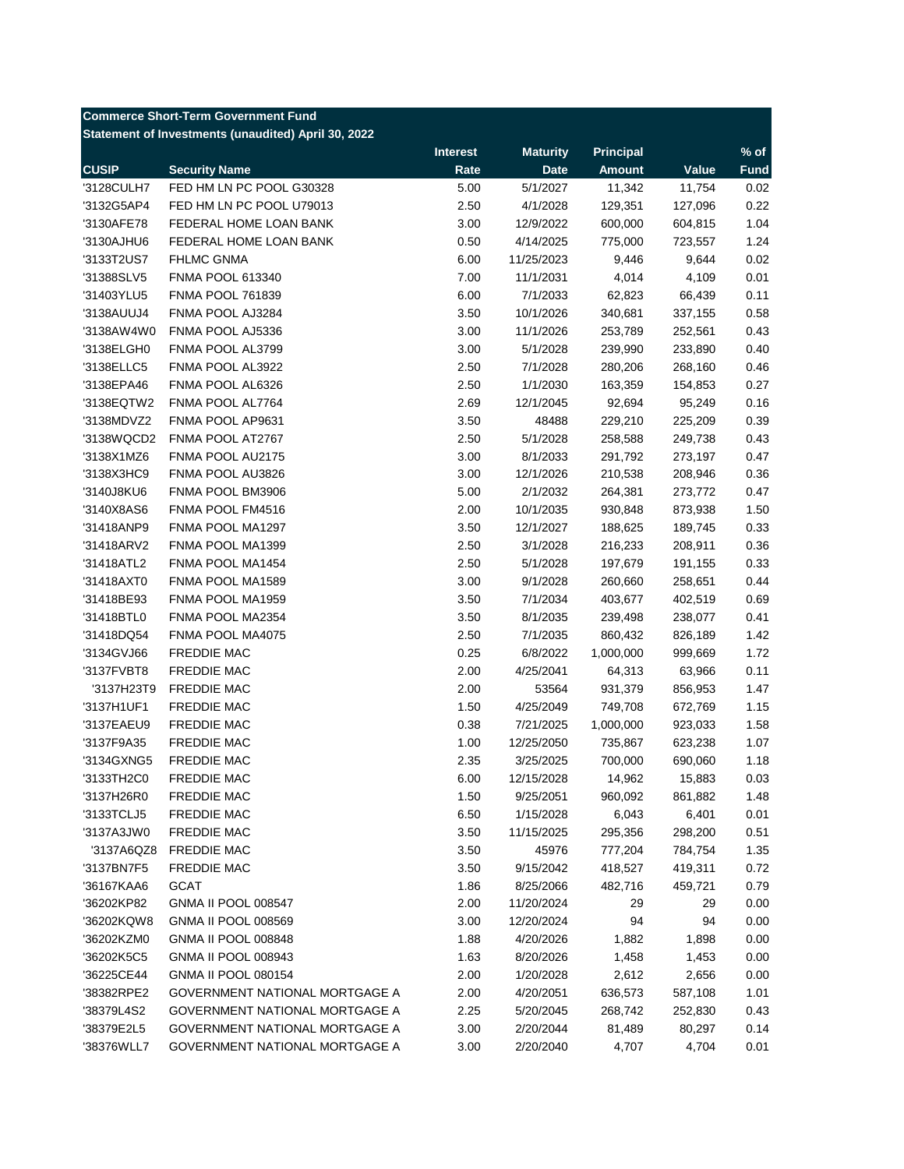## **Commerce Short-Term Government Fund**

**Statement of Investments (unaudited) April 30, 2022**

|              |                                | <b>Interest</b> | <b>Maturity</b> | <b>Principal</b> |         | $%$ of      |
|--------------|--------------------------------|-----------------|-----------------|------------------|---------|-------------|
| <b>CUSIP</b> | <b>Security Name</b>           | Rate            | <b>Date</b>     | <b>Amount</b>    | Value   | <b>Fund</b> |
| '3128CULH7   | FED HM LN PC POOL G30328       | 5.00            | 5/1/2027        | 11,342           | 11,754  | 0.02        |
| '3132G5AP4   | FED HM LN PC POOL U79013       | 2.50            | 4/1/2028        | 129,351          | 127,096 | 0.22        |
| '3130AFE78   | FEDERAL HOME LOAN BANK         | 3.00            | 12/9/2022       | 600,000          | 604,815 | 1.04        |
| '3130AJHU6   | FEDERAL HOME LOAN BANK         | 0.50            | 4/14/2025       | 775,000          | 723,557 | 1.24        |
| '3133T2US7   | <b>FHLMC GNMA</b>              | 6.00            | 11/25/2023      | 9,446            | 9,644   | 0.02        |
| '31388SLV5   | <b>FNMA POOL 613340</b>        | 7.00            | 11/1/2031       | 4,014            | 4,109   | 0.01        |
| '31403YLU5   | <b>FNMA POOL 761839</b>        | 6.00            | 7/1/2033        | 62,823           | 66,439  | 0.11        |
| '3138AUUJ4   | FNMA POOL AJ3284               | 3.50            | 10/1/2026       | 340,681          | 337,155 | 0.58        |
| '3138AW4W0   | FNMA POOL AJ5336               | 3.00            | 11/1/2026       | 253,789          | 252,561 | 0.43        |
| '3138ELGH0   | FNMA POOL AL3799               | 3.00            | 5/1/2028        | 239,990          | 233,890 | 0.40        |
| '3138ELLC5   | FNMA POOL AL3922               | 2.50            | 7/1/2028        | 280,206          | 268,160 | 0.46        |
| '3138EPA46   | FNMA POOL AL6326               | 2.50            | 1/1/2030        | 163,359          | 154,853 | 0.27        |
| '3138EQTW2   | FNMA POOL AL7764               | 2.69            | 12/1/2045       | 92,694           | 95,249  | 0.16        |
| '3138MDVZ2   | FNMA POOL AP9631               | 3.50            | 48488           | 229,210          | 225,209 | 0.39        |
| '3138WQCD2   | FNMA POOL AT2767               | 2.50            | 5/1/2028        | 258,588          | 249,738 | 0.43        |
| '3138X1MZ6   | FNMA POOL AU2175               | 3.00            | 8/1/2033        | 291,792          | 273,197 | 0.47        |
| '3138X3HC9   | FNMA POOL AU3826               | 3.00            | 12/1/2026       | 210,538          | 208,946 | 0.36        |
| '3140J8KU6   | FNMA POOL BM3906               | 5.00            | 2/1/2032        | 264,381          | 273,772 | 0.47        |
| '3140X8AS6   | FNMA POOL FM4516               | 2.00            | 10/1/2035       | 930,848          | 873,938 | 1.50        |
| '31418ANP9   | FNMA POOL MA1297               | 3.50            | 12/1/2027       | 188,625          | 189,745 | 0.33        |
| '31418ARV2   | FNMA POOL MA1399               | 2.50            | 3/1/2028        | 216,233          | 208,911 | 0.36        |
| '31418ATL2   | FNMA POOL MA1454               | 2.50            | 5/1/2028        | 197,679          | 191,155 | 0.33        |
| '31418AXT0   | FNMA POOL MA1589               | 3.00            | 9/1/2028        | 260,660          | 258,651 | 0.44        |
| '31418BE93   | FNMA POOL MA1959               | 3.50            | 7/1/2034        | 403,677          | 402,519 | 0.69        |
| '31418BTL0   | FNMA POOL MA2354               | 3.50            | 8/1/2035        | 239,498          | 238,077 | 0.41        |
| '31418DQ54   | FNMA POOL MA4075               | 2.50            | 7/1/2035        | 860,432          | 826,189 | 1.42        |
| '3134GVJ66   | FREDDIE MAC                    | 0.25            | 6/8/2022        | 1,000,000        | 999,669 | 1.72        |
| '3137FVBT8   | FREDDIE MAC                    | 2.00            | 4/25/2041       | 64,313           | 63,966  | 0.11        |
| '3137H23T9   | FREDDIE MAC                    | 2.00            | 53564           | 931,379          | 856,953 | 1.47        |
| '3137H1UF1   | FREDDIE MAC                    | 1.50            | 4/25/2049       | 749,708          |         | 1.15        |
|              | FREDDIE MAC                    | 0.38            | 7/21/2025       | 1,000,000        | 672,769 | 1.58        |
| '3137EAEU9   | <b>FREDDIE MAC</b>             |                 |                 |                  | 923,033 |             |
| '3137F9A35   |                                | 1.00            | 12/25/2050      | 735,867          | 623,238 | 1.07        |
| '3134GXNG5   | FREDDIE MAC                    | 2.35            | 3/25/2025       | 700,000          | 690,060 | 1.18        |
| '3133TH2C0   | FREDDIE MAC                    | 6.00            | 12/15/2028      | 14,962           | 15,883  | 0.03        |
| '3137H26R0   | <b>FREDDIE MAC</b>             | 1.50            | 9/25/2051       | 960,092          | 861,882 | 1.48        |
| '3133TCLJ5   | <b>FREDDIE MAC</b>             | 6.50            | 1/15/2028       | 6,043            | 6,401   | 0.01        |
| '3137A3JW0   | FREDDIE MAC                    | 3.50            | 11/15/2025      | 295,356          | 298,200 | 0.51        |
| '3137A6QZ8   | FREDDIE MAC                    | 3.50            | 45976           | 777,204          | 784,754 | 1.35        |
| '3137BN7F5   | FREDDIE MAC                    | 3.50            | 9/15/2042       | 418,527          | 419,311 | 0.72        |
| '36167KAA6   | <b>GCAT</b>                    | 1.86            | 8/25/2066       | 482,716          | 459,721 | 0.79        |
| '36202KP82   | <b>GNMA II POOL 008547</b>     | 2.00            | 11/20/2024      | 29               | 29      | 0.00        |
| '36202KQW8   | <b>GNMA II POOL 008569</b>     | 3.00            | 12/20/2024      | 94               | 94      | 0.00        |
| '36202KZM0   | <b>GNMA II POOL 008848</b>     | 1.88            | 4/20/2026       | 1,882            | 1,898   | 0.00        |
| '36202K5C5   | <b>GNMA II POOL 008943</b>     | 1.63            | 8/20/2026       | 1,458            | 1,453   | 0.00        |
| '36225CE44   | <b>GNMA II POOL 080154</b>     | 2.00            | 1/20/2028       | 2,612            | 2,656   | 0.00        |
| '38382RPE2   | GOVERNMENT NATIONAL MORTGAGE A | 2.00            | 4/20/2051       | 636,573          | 587,108 | 1.01        |
| '38379L4S2   | GOVERNMENT NATIONAL MORTGAGE A | 2.25            | 5/20/2045       | 268,742          | 252,830 | 0.43        |
| '38379E2L5   | GOVERNMENT NATIONAL MORTGAGE A | 3.00            | 2/20/2044       | 81,489           | 80,297  | 0.14        |
| '38376WLL7   | GOVERNMENT NATIONAL MORTGAGE A | 3.00            | 2/20/2040       | 4,707            | 4,704   | 0.01        |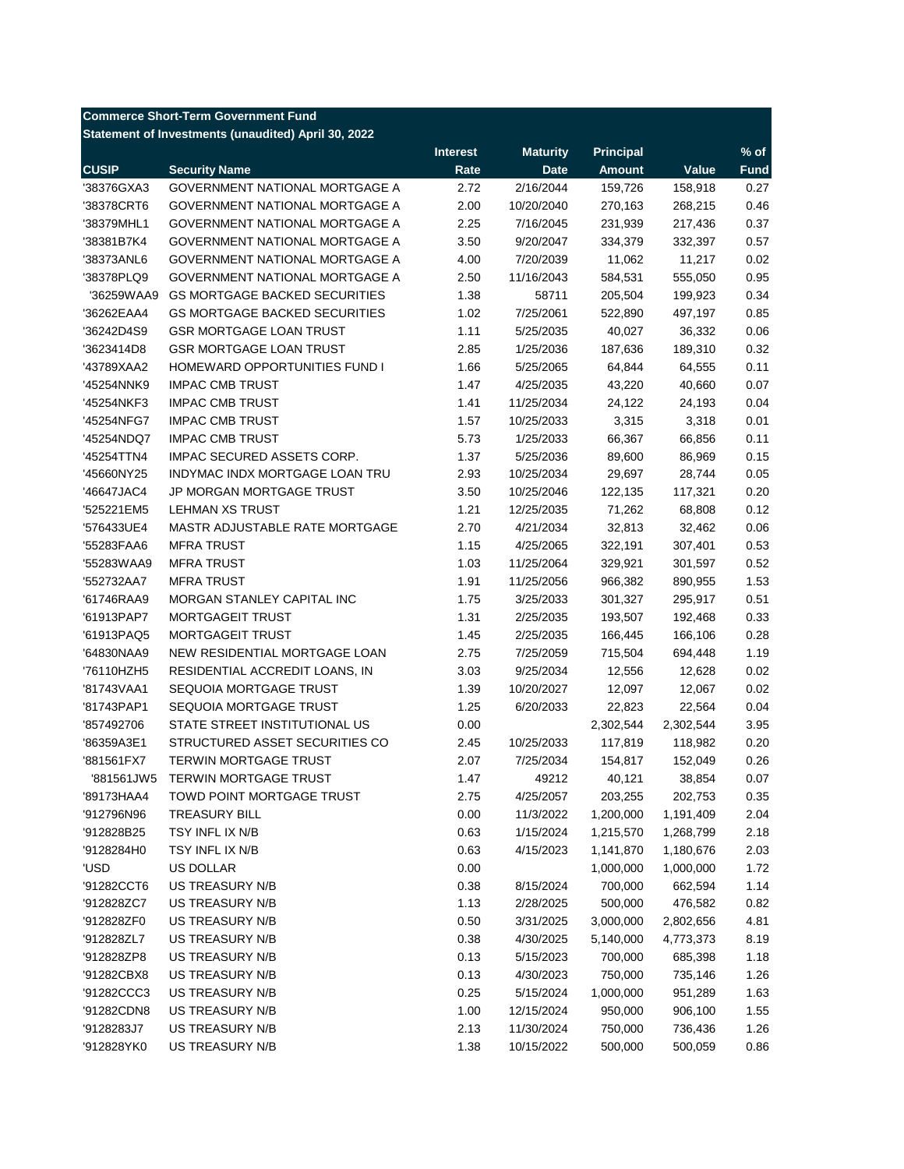## **Commerce Short-Term Government Fund**

**Statement of Investments (unaudited) April 30, 2022**

|              |                                       | <b>Interest</b> | <b>Maturity</b> | <b>Principal</b> |           | $%$ of      |
|--------------|---------------------------------------|-----------------|-----------------|------------------|-----------|-------------|
| <b>CUSIP</b> | <b>Security Name</b>                  | Rate            | <b>Date</b>     | <b>Amount</b>    | Value     | <b>Fund</b> |
| '38376GXA3   | <b>GOVERNMENT NATIONAL MORTGAGE A</b> | 2.72            | 2/16/2044       | 159,726          | 158,918   | 0.27        |
| '38378CRT6   | <b>GOVERNMENT NATIONAL MORTGAGE A</b> | 2.00            | 10/20/2040      | 270,163          | 268,215   | 0.46        |
| '38379MHL1   | <b>GOVERNMENT NATIONAL MORTGAGE A</b> | 2.25            | 7/16/2045       | 231,939          | 217,436   | 0.37        |
| '38381B7K4   | <b>GOVERNMENT NATIONAL MORTGAGE A</b> | 3.50            | 9/20/2047       | 334,379          | 332,397   | 0.57        |
| '38373ANL6   | <b>GOVERNMENT NATIONAL MORTGAGE A</b> | 4.00            | 7/20/2039       | 11,062           | 11,217    | 0.02        |
| '38378PLQ9   | GOVERNMENT NATIONAL MORTGAGE A        | 2.50            | 11/16/2043      | 584,531          | 555,050   | 0.95        |
| '36259WAA9   | <b>GS MORTGAGE BACKED SECURITIES</b>  | 1.38            | 58711           | 205,504          | 199,923   | 0.34        |
| '36262EAA4   | <b>GS MORTGAGE BACKED SECURITIES</b>  | 1.02            | 7/25/2061       | 522,890          | 497,197   | 0.85        |
| '36242D4S9   | <b>GSR MORTGAGE LOAN TRUST</b>        | 1.11            | 5/25/2035       | 40,027           | 36,332    | 0.06        |
| '3623414D8   | <b>GSR MORTGAGE LOAN TRUST</b>        | 2.85            | 1/25/2036       | 187,636          | 189,310   | 0.32        |
| '43789XAA2   | HOMEWARD OPPORTUNITIES FUND I         | 1.66            | 5/25/2065       | 64,844           | 64,555    | 0.11        |
| '45254NNK9   | <b>IMPAC CMB TRUST</b>                | 1.47            | 4/25/2035       | 43,220           | 40,660    | 0.07        |
| '45254NKF3   | <b>IMPAC CMB TRUST</b>                | 1.41            | 11/25/2034      | 24,122           | 24,193    | 0.04        |
| '45254NFG7   | <b>IMPAC CMB TRUST</b>                | 1.57            | 10/25/2033      | 3,315            | 3,318     | 0.01        |
| '45254NDQ7   | <b>IMPAC CMB TRUST</b>                | 5.73            | 1/25/2033       | 66,367           | 66,856    | 0.11        |
| '45254TTN4   | IMPAC SECURED ASSETS CORP.            | 1.37            | 5/25/2036       | 89,600           | 86,969    | 0.15        |
| '45660NY25   | INDYMAC INDX MORTGAGE LOAN TRU        | 2.93            | 10/25/2034      | 29,697           | 28,744    | 0.05        |
| '46647JAC4   | JP MORGAN MORTGAGE TRUST              | 3.50            | 10/25/2046      | 122,135          | 117,321   | 0.20        |
| '525221EM5   | <b>LEHMAN XS TRUST</b>                | 1.21            | 12/25/2035      | 71,262           | 68,808    | 0.12        |
| '576433UE4   | MASTR ADJUSTABLE RATE MORTGAGE        | 2.70            | 4/21/2034       | 32,813           | 32,462    | 0.06        |
| '55283FAA6   | <b>MFRA TRUST</b>                     | 1.15            | 4/25/2065       | 322,191          | 307,401   | 0.53        |
| '55283WAA9   | <b>MFRA TRUST</b>                     | 1.03            | 11/25/2064      | 329,921          | 301,597   | 0.52        |
| '552732AA7   | <b>MFRA TRUST</b>                     | 1.91            | 11/25/2056      | 966,382          | 890,955   | 1.53        |
| '61746RAA9   | MORGAN STANLEY CAPITAL INC            | 1.75            | 3/25/2033       | 301,327          | 295,917   | 0.51        |
| '61913PAP7   | <b>MORTGAGEIT TRUST</b>               | 1.31            | 2/25/2035       | 193,507          | 192,468   | 0.33        |
| '61913PAQ5   | <b>MORTGAGEIT TRUST</b>               | 1.45            | 2/25/2035       | 166,445          | 166,106   | 0.28        |
| '64830NAA9   | NEW RESIDENTIAL MORTGAGE LOAN         | 2.75            | 7/25/2059       | 715,504          | 694,448   | 1.19        |
| '76110HZH5   | RESIDENTIAL ACCREDIT LOANS, IN        | 3.03            | 9/25/2034       | 12,556           | 12,628    | 0.02        |
| '81743VAA1   | SEQUOIA MORTGAGE TRUST                | 1.39            | 10/20/2027      | 12,097           | 12,067    | 0.02        |
| '81743PAP1   | SEQUOIA MORTGAGE TRUST                | 1.25            | 6/20/2033       | 22,823           | 22,564    | 0.04        |
| '857492706   | STATE STREET INSTITUTIONAL US         | 0.00            |                 | 2,302,544        | 2,302,544 | 3.95        |
| '86359A3E1   | STRUCTURED ASSET SECURITIES CO        | 2.45            | 10/25/2033      | 117,819          | 118,982   | 0.20        |
| '881561FX7   | <b>TERWIN MORTGAGE TRUST</b>          | 2.07            | 7/25/2034       | 154,817          | 152,049   | 0.26        |
| '881561JW5   | <b>TERWIN MORTGAGE TRUST</b>          | 1.47            | 49212           | 40,121           | 38,854    | 0.07        |
| '89173HAA4   | TOWD POINT MORTGAGE TRUST             | 2.75            | 4/25/2057       | 203,255          | 202,753   | 0.35        |
| '912796N96   | <b>TREASURY BILL</b>                  | 0.00            | 11/3/2022       | 1,200,000        | 1,191,409 | 2.04        |
| '912828B25   | TSY INFL IX N/B                       | 0.63            | 1/15/2024       | 1,215,570        | 1,268,799 | 2.18        |
| '9128284H0   | TSY INFL IX N/B                       | 0.63            | 4/15/2023       | 1,141,870        | 1,180,676 | 2.03        |
| 'USD         | <b>US DOLLAR</b>                      | 0.00            |                 | 1,000,000        | 1,000,000 | 1.72        |
| '91282CCT6   | <b>US TREASURY N/B</b>                | 0.38            | 8/15/2024       | 700,000          | 662,594   | 1.14        |
| '912828ZC7   | US TREASURY N/B                       | 1.13            | 2/28/2025       | 500,000          | 476,582   | 0.82        |
| '912828ZF0   | <b>US TREASURY N/B</b>                | 0.50            | 3/31/2025       | 3,000,000        | 2,802,656 | 4.81        |
| '912828ZL7   | <b>US TREASURY N/B</b>                | 0.38            | 4/30/2025       | 5,140,000        | 4,773,373 | 8.19        |
| '912828ZP8   | US TREASURY N/B                       | 0.13            | 5/15/2023       | 700,000          | 685,398   | 1.18        |
| '91282CBX8   | US TREASURY N/B                       | 0.13            | 4/30/2023       | 750,000          | 735,146   | 1.26        |
| '91282CCC3   | <b>US TREASURY N/B</b>                | 0.25            | 5/15/2024       | 1,000,000        | 951,289   | 1.63        |
| '91282CDN8   | US TREASURY N/B                       | 1.00            | 12/15/2024      | 950,000          | 906,100   | 1.55        |
| '9128283J7   | US TREASURY N/B                       | 2.13            | 11/30/2024      | 750,000          | 736,436   | 1.26        |
| '912828YK0   | US TREASURY N/B                       | 1.38            | 10/15/2022      | 500,000          | 500,059   | 0.86        |